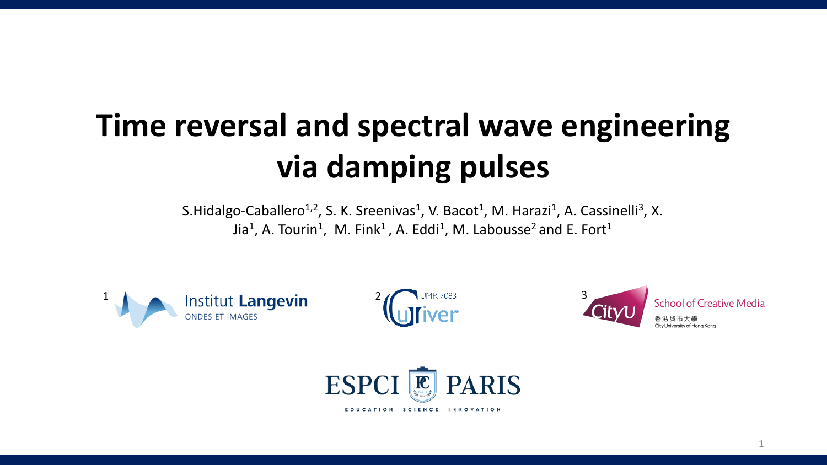# **Time reversal and spectral wave engineering via damping pulses**

S.Hidalgo-Caballero<sup>1,2</sup>, S. K. Sreenivas<sup>1</sup>, V. Bacot<sup>1</sup>, M. Harazi<sup>1</sup>, A. Cassinelli<sup>3</sup>, X. Jia<sup>1</sup>, A. Tourin<sup>1</sup>, M. Fink<sup>1</sup>, A. Eddi<sup>1</sup>, M. Labousse<sup>2</sup> and E. Fort<sup>1</sup>







1

1

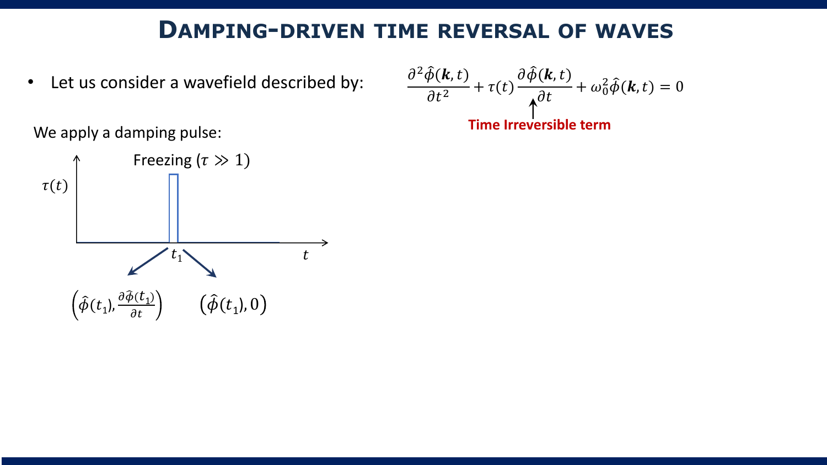#### **DAMPING-DRIVEN TIME REVERSAL OF WAVES**

• Let us consider a wavefield described by:

$$
\frac{\partial^2 \hat{\phi}(\mathbf{k}, t)}{\partial t^2} + \tau(t) \frac{\partial \hat{\phi}(\mathbf{k}, t)}{\partial t} + \omega_0^2 \hat{\phi}(\mathbf{k}, t) = 0
$$
  
Time irreversible term

We apply a damping pulse:

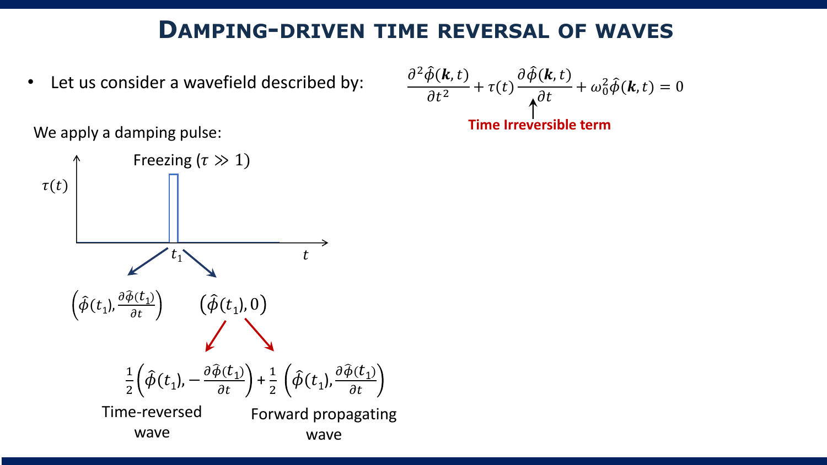#### **DAMPING-DRIVEN TIME REVERSAL OF WAVES**

• Let us consider a wavefield described by:

$$
\frac{\partial^2 \hat{\phi}(\mathbf{k}, t)}{\partial t^2} + \tau(t) \frac{\partial \hat{\phi}(\mathbf{k}, t)}{\partial t} + \omega_0^2 \hat{\phi}(\mathbf{k}, t) = 0
$$
  
Time Irreversible term

We apply a damping pulse:

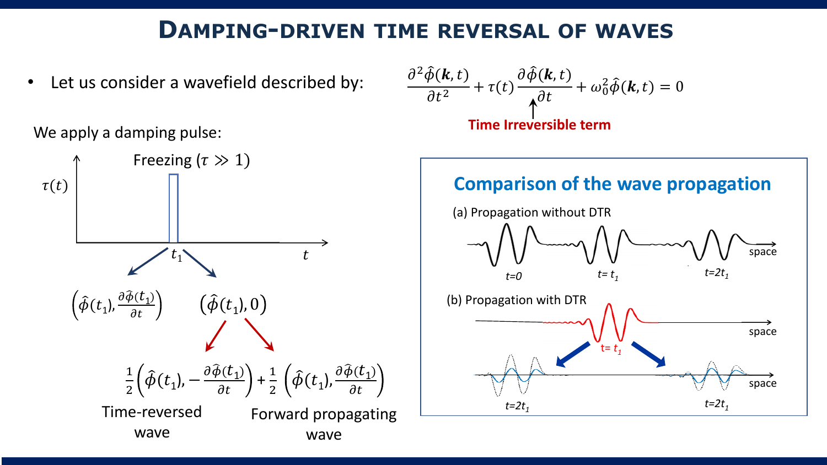#### **DAMPING-DRIVEN TIME REVERSAL OF WAVES**

• Let us consider a wavefield described by:





$$
\frac{\partial^2 \hat{\phi}(\mathbf{k}, t)}{\partial t^2} + \tau(t) \frac{\partial \hat{\phi}(\mathbf{k}, t)}{\partial t} + \omega_0^2 \hat{\phi}(\mathbf{k}, t) = 0
$$
  
Time Irreversible term

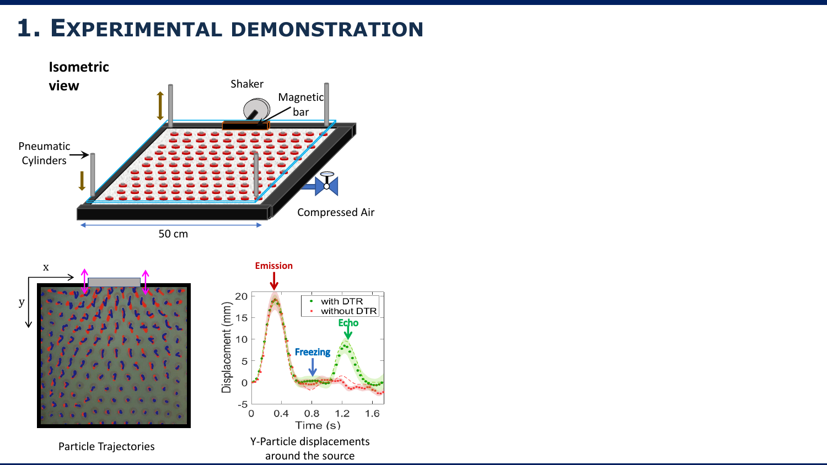## **1. EXPERIMENTAL DEMONSTRATION**

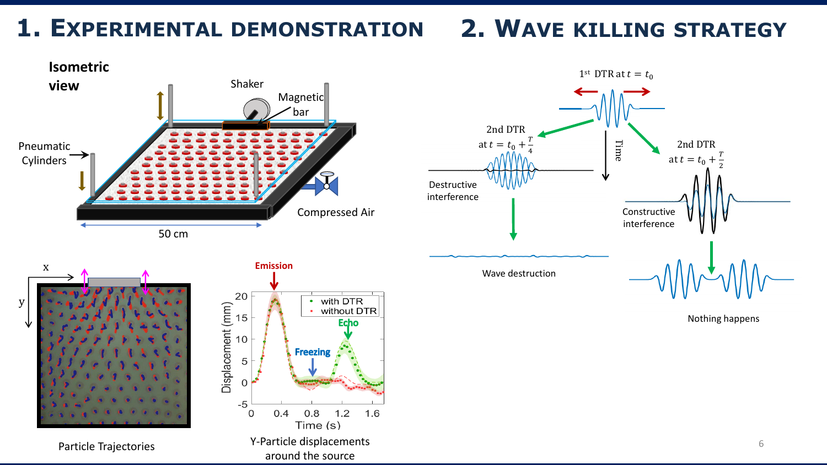# **1. EXPERIMENTAL DEMONSTRATION**

## **2. WAVE KILLING STRATEGY**